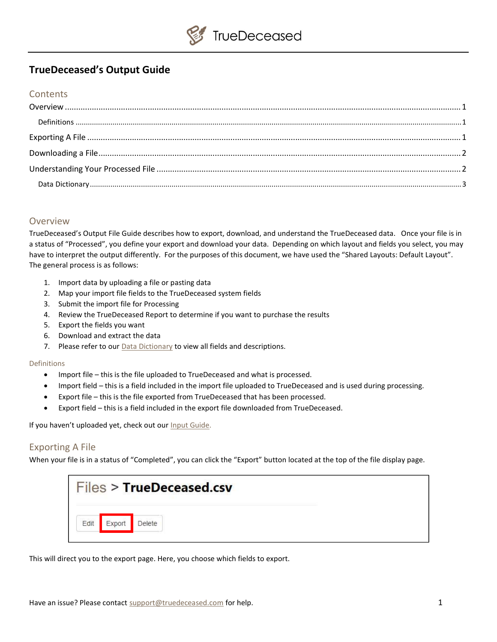# TrueDeceased's Output Guide

### **Contents**

### Overview

TrueDeceased's Output File Guide describes how to export, download, and understand the TrueDeceased data. Once your file is in a status of "Processed", you define your export and download your data. Depending on which layout and fields you select, you may have to interpret the output differently. For the purposes of this document, we have used the "Shared Layouts: Default Layout". The general process is as follows:

- 1. Import data by uploading a file or pasting data
- 2. Map your import file fields to the TrueDeceased system fields
- 3. Submit the import file for Processing
- 4. Review the TrueDeceased Report to determine if you want to purchase the results
- 5. Export the fields you want
- 6. Download and extract the data
- 7. Please refer to our **Data Dictionary** to view all fields and descriptions.

#### Definitions

- Import file this is the file uploaded to TrueDeceased and what is processed.
- Import field this is a field included in the import file uploaded to TrueDeceased and is used during processing.
- Export file this is the file exported from TrueDeceased that has been processed.
- Export field this is a field included in the export file downloaded from TrueDeceased.

If you haven't uploaded yet, check out our Input Guide.

## Exporting A File

When your file is in a status of "Completed", you can click the "Export" button located at the top of the file display page.

|      |        | Files > TrueDeceased.csv |  |
|------|--------|--------------------------|--|
| Edit | Exnort | Delete                   |  |

This will direct you to the export page. Here, you choose which fields to export.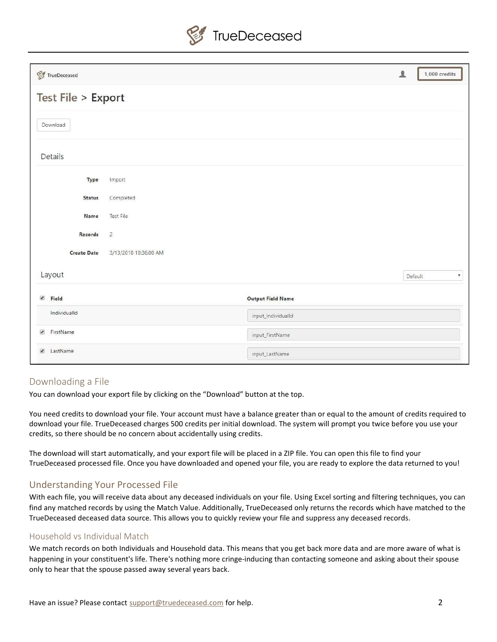

| $\mathcal{G}$ TrueDeceased            |                       |                          | $\blacktriangle$ | $1,000$ credits               |
|---------------------------------------|-----------------------|--------------------------|------------------|-------------------------------|
| <b>Test File &gt; Export</b>          |                       |                          |                  |                               |
| Download                              |                       |                          |                  |                               |
| Details                               |                       |                          |                  |                               |
| Type                                  | Import                |                          |                  |                               |
| <b>Status</b>                         | Completed             |                          |                  |                               |
| Name                                  | Test File             |                          |                  |                               |
| Records                               | $\overline{2}$        |                          |                  |                               |
| <b>Create Date</b>                    | 3/13/2018 10:36:00 AM |                          |                  |                               |
| Layout                                |                       |                          |                  | $\pmb{\mathrm{v}}$<br>Default |
| $\overline{\mathcal{L}}$<br>Field     |                       | <b>Output Field Name</b> |                  |                               |
| IndividualId                          |                       | input_IndividualId       |                  |                               |
| $\overline{\mathcal{C}}$<br>FirstName |                       | input_FirstName          |                  |                               |
| LastName<br>$\overline{\mathcal{L}}$  |                       | input_LastName           |                  |                               |

## Downloading a File

You can download your export file by clicking on the "Download" button at the top.

You need credits to download your file. Your account must have a balance greater than or equal to the amount of credits required to download your file. TrueDeceased charges 500 credits per initial download. The system will prompt you twice before you use your credits, so there should be no concern about accidentally using credits.

The download will start automatically, and your export file will be placed in a ZIP file. You can open this file to find your TrueDeceased processed file. Once you have downloaded and opened your file, you are ready to explore the data returned to you!

## Understanding Your Processed File

With each file, you will receive data about any deceased individuals on your file. Using Excel sorting and filtering techniques, you can find any matched records by using the Match Value. Additionally, TrueDeceased only returns the records which have matched to the TrueDeceased deceased data source. This allows you to quickly review your file and suppress any deceased records.

### Household vs Individual Match

We match records on both Individuals and Household data. This means that you get back more data and are more aware of what is happening in your constituent's life. There's nothing more cringe-inducing than contacting someone and asking about their spouse only to hear that the spouse passed away several years back.